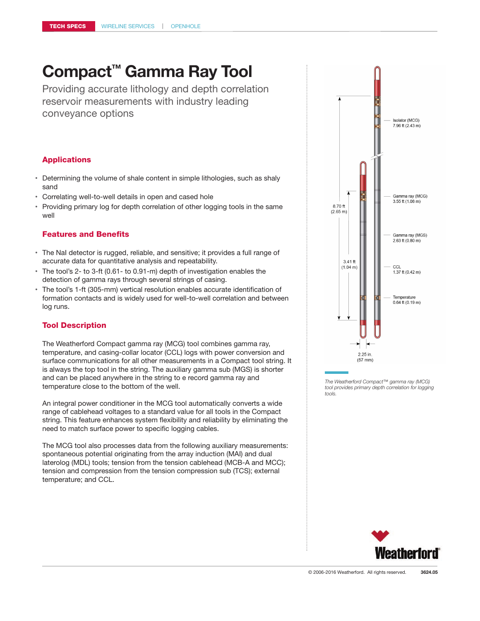# **Compact™ Gamma Ray Tool**

Providing accurate lithology and depth correlation reservoir measurements with industry leading conveyance options

## Applications

- Determining the volume of shale content in simple lithologies, such as shaly sand
- Correlating well-to-well details in open and cased hole
- Providing primary log for depth correlation of other logging tools in the same well

## Features and Benefits

- The NaI detector is rugged, reliable, and sensitive; it provides a full range of accurate data for quantitative analysis and repeatability.
- The tool's 2- to 3-ft (0.61- to 0.91-m) depth of investigation enables the detection of gamma rays through several strings of casing.
- The tool's 1-ft (305-mm) vertical resolution enables accurate identification of formation contacts and is widely used for well-to-well correlation and between log runs.

## Tool Description

The Weatherford Compact gamma ray (MCG) tool combines gamma ray, temperature, and casing-collar locator (CCL) logs with power conversion and surface communications for all other measurements in a Compact tool string. It is always the top tool in the string. The auxiliary gamma sub (MGS) is shorter and can be placed anywhere in the string to e record gamma ray and temperature close to the bottom of the well.

An integral power conditioner in the MCG tool automatically converts a wide range of cablehead voltages to a standard value for all tools in the Compact string. This feature enhances system flexibility and reliability by eliminating the need to match surface power to specific logging cables.

The MCG tool also processes data from the following auxiliary measurements: spontaneous potential originating from the array induction (MAI) and dual laterolog (MDL) tools; tension from the tension cablehead (MCB-A and MCC); tension and compression from the tension compression sub (TCS); external temperature; and CCL.



*The Weatherford Compact™ gamma ray (MCG) tool provides primary depth correlation for logging tools.*